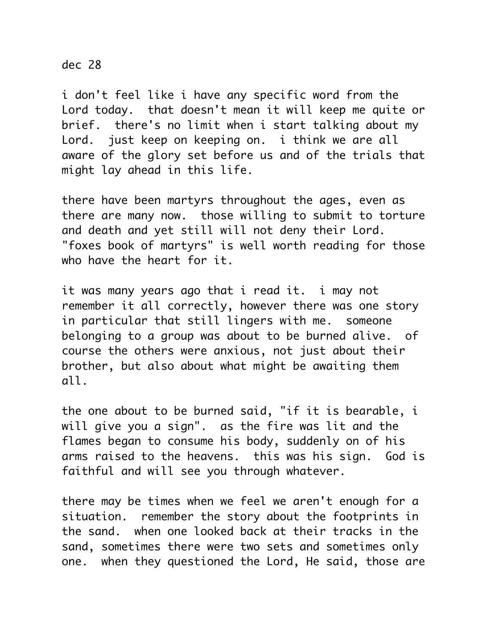## dec 28

i don't feel like i have any specific word from the Lord today. that doesn't mean it will keep me quite or brief. there's no limit when i start talking about my Lord. just keep on keeping on. i think we are all aware of the glory set before us and of the trials that might lay ahead in this life.

there have been martyrs throughout the ages, even as there are many now. those willing to submit to torture and death and yet still will not deny their Lord. "foxes book of martyrs" is well worth reading for those who have the heart for it.

it was many years ago that i read it. i may not remember it all correctly, however there was one story in particular that still lingers with me. someone belonging to a group was about to be burned alive. of course the others were anxious, not just about their brother, but also about what might be awaiting them all.

the one about to be burned said, "if it is bearable, i will give you a sign". as the fire was lit and the flames began to consume his body, suddenly on of his arms raised to the heavens. this was his sign. God is faithful and will see you through whatever.

there may be times when we feel we aren't enough for a situation. remember the story about the footprints in the sand. when one looked back at their tracks in the sand, sometimes there were two sets and sometimes only one. when they questioned the Lord, He said, those are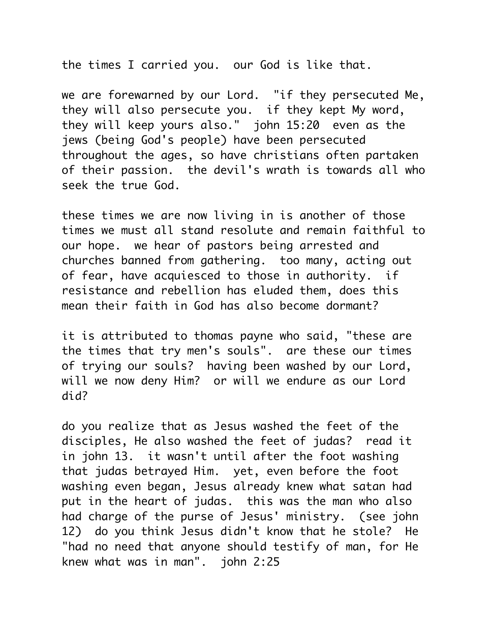the times I carried you. our God is like that.

we are forewarned by our Lord. "if they persecuted Me, they will also persecute you. if they kept My word, they will keep yours also." john 15:20 even as the jews (being God's people) have been persecuted throughout the ages, so have christians often partaken of their passion. the devil's wrath is towards all who seek the true God.

these times we are now living in is another of those times we must all stand resolute and remain faithful to our hope. we hear of pastors being arrested and churches banned from gathering. too many, acting out of fear, have acquiesced to those in authority. if resistance and rebellion has eluded them, does this mean their faith in God has also become dormant?

it is attributed to thomas payne who said, "these are the times that try men's souls". are these our times of trying our souls? having been washed by our Lord, will we now deny Him? or will we endure as our Lord did?

do you realize that as Jesus washed the feet of the disciples, He also washed the feet of judas? read it in john 13. it wasn't until after the foot washing that judas betrayed Him. yet, even before the foot washing even began, Jesus already knew what satan had put in the heart of judas. this was the man who also had charge of the purse of Jesus' ministry. (see john 12) do you think Jesus didn't know that he stole? He "had no need that anyone should testify of man, for He knew what was in man". john 2:25